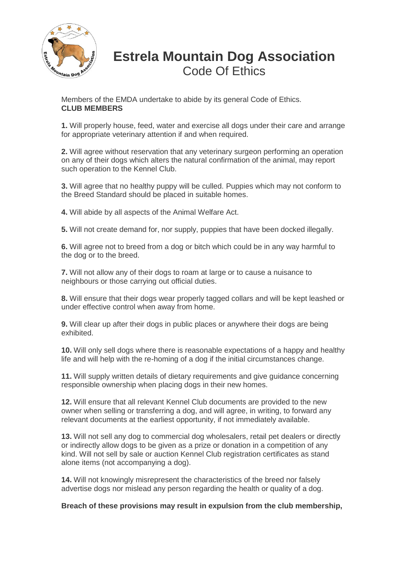

## **Estrela Mountain Dog Association** Code Of Ethics

Members of the EMDA undertake to abide by its general Code of Ethics. **CLUB MEMBERS**

**1.** Will properly house, feed, water and exercise all dogs under their care and arrange for appropriate veterinary attention if and when required.

**2.** Will agree without reservation that any veterinary surgeon performing an operation on any of their dogs which alters the natural confirmation of the animal, may report such operation to the Kennel Club.

**3.** Will agree that no healthy puppy will be culled. Puppies which may not conform to the Breed Standard should be placed in suitable homes.

**4.** Will abide by all aspects of the Animal Welfare Act.

**5.** Will not create demand for, nor supply, puppies that have been docked illegally.

**6.** Will agree not to breed from a dog or bitch which could be in any way harmful to the dog or to the breed.

**7.** Will not allow any of their dogs to roam at large or to cause a nuisance to neighbours or those carrying out official duties.

**8.** Will ensure that their dogs wear properly tagged collars and will be kept leashed or under effective control when away from home.

**9.** Will clear up after their dogs in public places or anywhere their dogs are being exhibited.

**10.** Will only sell dogs where there is reasonable expectations of a happy and healthy life and will help with the re-homing of a dog if the initial circumstances change.

**11.** Will supply written details of dietary requirements and give guidance concerning responsible ownership when placing dogs in their new homes.

**12.** Will ensure that all relevant Kennel Club documents are provided to the new owner when selling or transferring a dog, and will agree, in writing, to forward any relevant documents at the earliest opportunity, if not immediately available.

**13.** Will not sell any dog to commercial dog wholesalers, retail pet dealers or directly or indirectly allow dogs to be given as a prize or donation in a competition of any kind. Will not sell by sale or auction Kennel Club registration certificates as stand alone items (not accompanying a dog).

**14.** Will not knowingly misrepresent the characteristics of the breed nor falsely advertise dogs nor mislead any person regarding the health or quality of a dog.

**Breach of these provisions may result in expulsion from the club membership,**